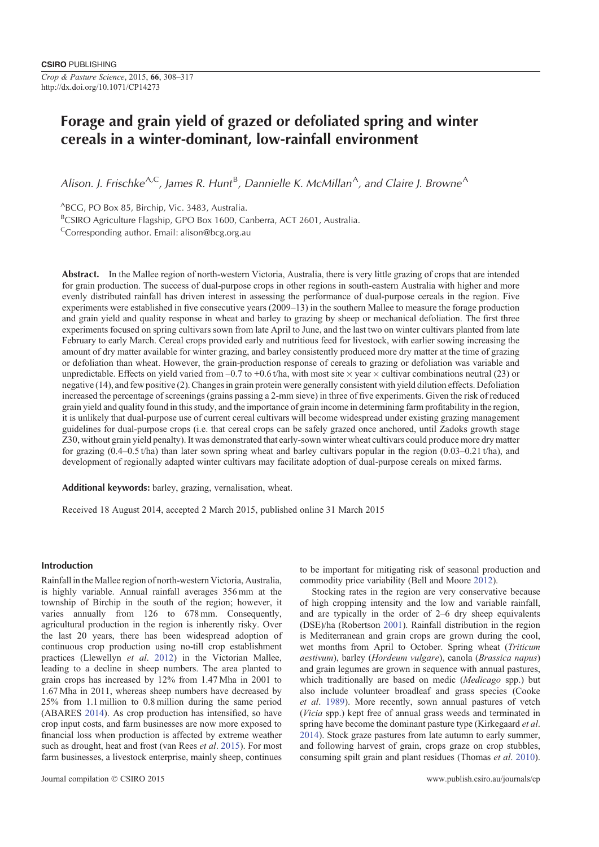# **Forage and grain yield of grazed or defoliated spring and winter cereals in a winter-dominant, low-rainfall environment**

Alison. J. Frischke<sup>A,C</sup>, James R. Hunt<sup>B</sup>, Dannielle K. McMillan<sup>A</sup>, and Claire J. Browne<sup>A</sup>

ABCG, PO Box 85, Birchip, Vic. 3483, Australia.

<sup>B</sup>CSIRO Agriculture Flagship, GPO Box 1600, Canberra, ACT 2601, Australia.

Corresponding author. Email: alison@bcg.org.au

**Abstract.** In the Mallee region of north-western Victoria, Australia, there is very little grazing of crops that are intended for grain production. The success of dual-purpose crops in other regions in south-eastern Australia with higher and more evenly distributed rainfall has driven interest in assessing the performance of dual-purpose cereals in the region. Five experiments were established in five consecutive years (2009–13) in the southern Mallee to measure the forage production and grain yield and quality response in wheat and barley to grazing by sheep or mechanical defoliation. The first three experiments focused on spring cultivars sown from late April to June, and the last two on winter cultivars planted from late February to early March. Cereal crops provided early and nutritious feed for livestock, with earlier sowing increasing the amount of dry matter available for winter grazing, and barley consistently produced more dry matter at the time of grazing or defoliation than wheat. However, the grain-production response of cereals to grazing or defoliation was variable and unpredictable. Effects on yield varied from –0.7 to +0.6 t/ha, with most site  $\times$  year  $\times$  cultivar combinations neutral (23) or negative (14), and few positive (2). Changes in grain protein were generally consistent with yield dilution effects. Defoliation increased the percentage of screenings (grains passing a 2-mm sieve) in three of five experiments. Given the risk of reduced grain yield and quality found in this study, and the importance of grain income in determining farm profitability in the region, it is unlikely that dual-purpose use of current cereal cultivars will become widespread under existing grazing management guidelines for dual-purpose crops (i.e. that cereal crops can be safely grazed once anchored, until Zadoks growth stage Z30, without grain yield penalty). It was demonstrated that early-sown winter wheat cultivars could produce more dry matter for grazing  $(0.4-0.5 t/ha)$  than later sown spring wheat and barley cultivars popular in the region  $(0.03-0.21 t/ha)$ , and development of regionally adapted winter cultivars may facilitate adoption of dual-purpose cereals on mixed farms.

**Additional keywords:** barley, grazing, vernalisation, wheat.

Received 18 August 2014, accepted 2 March 2015, published online 31 March 2015

# **Introduction**

Rainfall in the Mallee region of north-western Victoria, Australia, is highly variable. Annual rainfall averages 356 mm at the township of Birchip in the south of the region; however, it varies annually from 126 to 678 mm. Consequently, agricultural production in the region is inherently risky. Over the last 20 years, there has been widespread adoption of continuous crop production using no-till crop establishment practices (Llewellyn *et al*. 2012) in the Victorian Mallee, leading to a decline in sheep numbers. The area planted to grain crops has increased by 12% from 1.47 Mha in 2001 to 1.67 Mha in 2011, whereas sheep numbers have decreased by 25% from 1.1 million to 0.8 million during the same period (ABARES 2014). As crop production has intensified, so have crop input costs, and farm businesses are now more exposed to financial loss when production is affected by extreme weather such as drought, heat and frost (van Rees *et al*. 2015). For most farm businesses, a livestock enterprise, mainly sheep, continues

to be important for mitigating risk of seasonal production and commodity price variability (Bell and Moore 2012).

Stocking rates in the region are very conservative because of high cropping intensity and the low and variable rainfall, and are typically in the order of 2–6 dry sheep equivalents (DSE)/ha (Robertson 2001). Rainfall distribution in the region is Mediterranean and grain crops are grown during the cool, wet months from April to October. Spring wheat (*Triticum aestivum*), barley (*Hordeum vulgare*), canola (*Brassica napus*) and grain legumes are grown in sequence with annual pastures, which traditionally are based on medic (*Medicago* spp.) but also include volunteer broadleaf and grass species (Cooke *et al*. 1989). More recently, sown annual pastures of vetch (*Vicia* spp.) kept free of annual grass weeds and terminated in spring have become the dominant pasture type (Kirkegaard *et al*. 2014). Stock graze pastures from late autumn to early summer, and following harvest of grain, crops graze on crop stubbles, consuming spilt grain and plant residues (Thomas *et al*. 2010).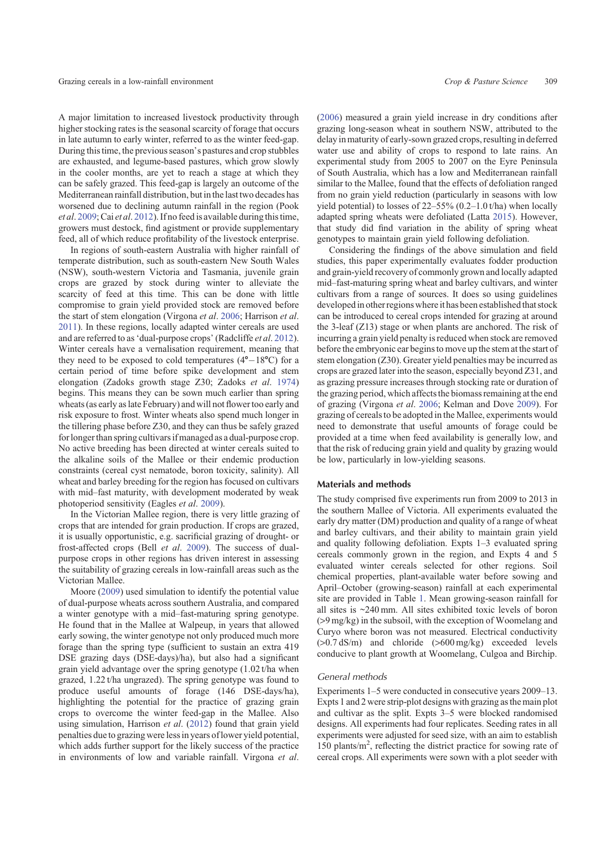A major limitation to increased livestock productivity through higher stocking rates is the seasonal scarcity of forage that occurs in late autumn to early winter, referred to as the winter feed-gap. During this time, the previous season's pastures and crop stubbles are exhausted, and legume-based pastures, which grow slowly in the cooler months, are yet to reach a stage at which they can be safely grazed. This feed-gap is largely an outcome of the Mediterranean rainfall distribution, but in the last two decades has worsened due to declining autumn rainfall in the region (Pook *et al*. 2009; Cai *et al*. 2012). If no feed is available during this time, growers must destock, find agistment or provide supplementary feed, all of which reduce profitability of the livestock enterprise.

In regions of south-eastern Australia with higher rainfall of temperate distribution, such as south-eastern New South Wales (NSW), south-western Victoria and Tasmania, juvenile grain crops are grazed by stock during winter to alleviate the scarcity of feed at this time. This can be done with little compromise to grain yield provided stock are removed before the start of stem elongation (Virgona *et al*. 2006; Harrison *et al*. 2011). In these regions, locally adapted winter cereals are used and are referred to as'dual-purpose crops'(Radcliffe *et al*. 2012). Winter cereals have a vernalisation requirement, meaning that they need to be exposed to cold temperatures  $(4^{\circ}-18^{\circ}C)$  for a certain period of time before spike development and stem elongation (Zadoks growth stage Z30; Zadoks *et al*. 1974) begins. This means they can be sown much earlier than spring wheats (as early as late February) and will not flower too early and risk exposure to frost. Winter wheats also spend much longer in the tillering phase before Z30, and they can thus be safely grazed for longer than spring cultivars if managed as a dual-purpose crop. No active breeding has been directed at winter cereals suited to the alkaline soils of the Mallee or their endemic production constraints (cereal cyst nematode, boron toxicity, salinity). All wheat and barley breeding for the region has focused on cultivars with mid–fast maturity, with development moderated by weak photoperiod sensitivity (Eagles *et al*. 2009).

In the Victorian Mallee region, there is very little grazing of crops that are intended for grain production. If crops are grazed, it is usually opportunistic, e.g. sacrificial grazing of drought- or frost-affected crops (Bell *et al*. 2009). The success of dualpurpose crops in other regions has driven interest in assessing the suitability of grazing cereals in low-rainfall areas such as the Victorian Mallee.

Moore (2009) used simulation to identify the potential value of dual-purpose wheats across southern Australia, and compared a winter genotype with a mid–fast-maturing spring genotype. He found that in the Mallee at Walpeup, in years that allowed early sowing, the winter genotype not only produced much more forage than the spring type (sufficient to sustain an extra 419 DSE grazing days (DSE-days)/ha), but also had a significant grain yield advantage over the spring genotype (1.02 t/ha when grazed, 1.22 t/ha ungrazed). The spring genotype was found to produce useful amounts of forage (146 DSE-days/ha), highlighting the potential for the practice of grazing grain crops to overcome the winter feed-gap in the Mallee. Also using simulation, Harrison *et al*. (2012) found that grain yield penalties due to grazing were less in years of lower yield potential, which adds further support for the likely success of the practice in environments of low and variable rainfall. Virgona *et al*.

(2006) measured a grain yield increase in dry conditions after grazing long-season wheat in southern NSW, attributed to the delay in maturity of early-sown grazed crops, resulting in deferred water use and ability of crops to respond to late rains. An experimental study from 2005 to 2007 on the Eyre Peninsula of South Australia, which has a low and Mediterranean rainfall similar to the Mallee, found that the effects of defoliation ranged from no grain yield reduction (particularly in seasons with low yield potential) to losses of 22–55% (0.2–1.0 t/ha) when locally adapted spring wheats were defoliated (Latta 2015). However, that study did find variation in the ability of spring wheat genotypes to maintain grain yield following defoliation.

Considering the findings of the above simulation and field studies, this paper experimentally evaluates fodder production and grain-yield recovery of commonly grown and locally adapted mid–fast-maturing spring wheat and barley cultivars, and winter cultivars from a range of sources. It does so using guidelines developed in other regions where it has been established that stock can be introduced to cereal crops intended for grazing at around the 3-leaf (Z13) stage or when plants are anchored. The risk of incurring a grain yield penalty is reduced when stock are removed before the embryonic ear begins to move up the stem at the start of stem elongation (Z30). Greater yield penalties may be incurred as crops are grazed later into the season, especially beyond Z31, and as grazing pressure increases through stocking rate or duration of the grazing period, which affects the biomass remaining at the end of grazing (Virgona *et al*. 2006; Kelman and Dove 2009). For grazing of cereals to be adopted in the Mallee, experiments would need to demonstrate that useful amounts of forage could be provided at a time when feed availability is generally low, and that the risk of reducing grain yield and quality by grazing would be low, particularly in low-yielding seasons.

# **Materials and methods**

The study comprised five experiments run from 2009 to 2013 in the southern Mallee of Victoria. All experiments evaluated the early dry matter (DM) production and quality of a range of wheat and barley cultivars, and their ability to maintain grain yield and quality following defoliation. Expts 1–3 evaluated spring cereals commonly grown in the region, and Expts 4 and 5 evaluated winter cereals selected for other regions. Soil chemical properties, plant-available water before sowing and April–October (growing-season) rainfall at each experimental site are provided in Table 1. Mean growing-season rainfall for all sites is ~240 mm. All sites exhibited toxic levels of boron (>9 mg/kg) in the subsoil, with the exception of Woomelang and Curyo where boron was not measured. Electrical conductivity (>0.7 dS/m) and chloride (>600 mg/kg) exceeded levels conducive to plant growth at Woomelang, Culgoa and Birchip.

# *General methods*

Experiments 1–5 were conducted in consecutive years 2009–13. Expts 1 and 2 were strip-plot designs with grazing as the main plot and cultivar as the split. Expts 3–5 were blocked randomised designs. All experiments had four replicates. Seeding rates in all experiments were adjusted for seed size, with an aim to establish 150 plants/m<sup>2</sup> , reflecting the district practice for sowing rate of cereal crops. All experiments were sown with a plot seeder with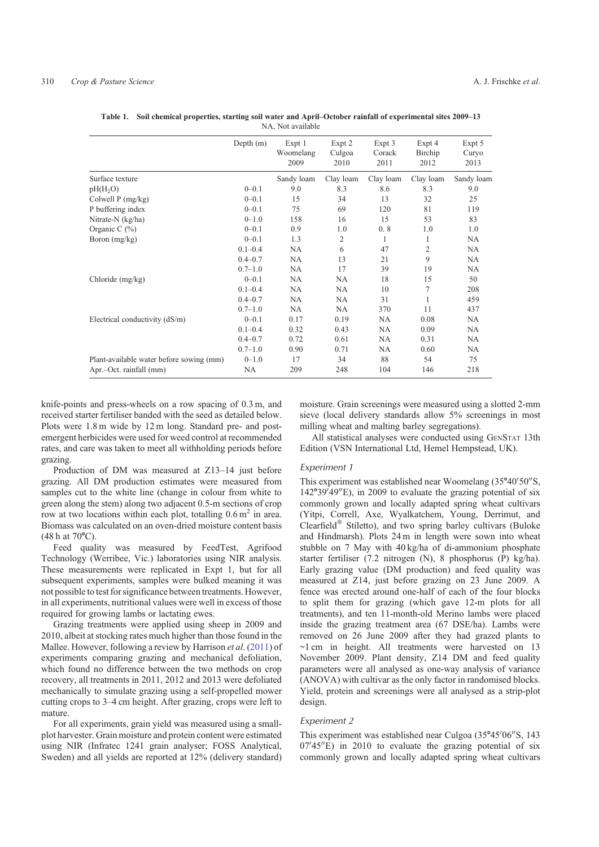|                                          | Depth $(m)$ | Expt 1<br>Woomelang<br>2009 | Expt 2<br>Culgoa<br>2010 | Expt 3<br>Corack<br>2011 | Expt 4<br>Birchip<br>2012 | Expt 5<br>Curyo<br>2013 |
|------------------------------------------|-------------|-----------------------------|--------------------------|--------------------------|---------------------------|-------------------------|
| Surface texture                          |             | Sandy loam                  | Clay loam                | Clay loam                | Clay loam                 | Sandy loam              |
| pH(H <sub>2</sub> O)                     | $0 - 0.1$   | 9.0                         | 8.3                      | 8.6                      | 8.3                       | 9.0                     |
| Colwell $P$ (mg/kg)                      | $0 - 0.1$   | 15                          | 34                       | 13                       | 32                        | 25                      |
| P buffering index                        | $0 - 0.1$   | 75                          | 69                       | 120                      | 81                        | 119                     |
| Nitrate-N $(kg/ha)$                      | $0 - 1.0$   | 158                         | 16                       | 15                       | 53                        | 83                      |
| Organic C $(\%)$                         | $0 - 0.1$   | 0.9                         | 1.0                      | 0.8                      | 1.0                       | 1.0                     |
| Boron $(mg/kg)$                          | $0 - 0.1$   | 1.3                         | 2                        | 1                        | 1                         | NA                      |
|                                          | $0.1 - 0.4$ | <b>NA</b>                   | 6                        | 47                       | $\mathfrak{2}$            | <b>NA</b>               |
|                                          | $0.4 - 0.7$ | NA                          | 13                       | 21                       | 9                         | NA                      |
|                                          | $0.7 - 1.0$ | <b>NA</b>                   | 17                       | 39                       | 19                        | NA                      |
| Chloride $(mg/kg)$                       | $0 - 0.1$   | NA                          | NA                       | 18                       | 15                        | 50                      |
|                                          | $0.1 - 0.4$ | <b>NA</b>                   | <b>NA</b>                | 10                       | 7                         | 208                     |
|                                          | $0.4 - 0.7$ | NA                          | NA                       | 31                       | 1                         | 459                     |
|                                          | $0.7 - 1.0$ | <b>NA</b>                   | <b>NA</b>                | 370                      | 11                        | 437                     |
| Electrical conductivity (dS/m)           | $0 - 0.1$   | 0.17                        | 0.19                     | NA                       | 0.08                      | NA                      |
|                                          | $0.1 - 0.4$ | 0.32                        | 0.43                     | <b>NA</b>                | 0.09                      | NA                      |
|                                          | $0.4 - 0.7$ | 0.72                        | 0.61                     | NA                       | 0.31                      | NA                      |
|                                          | $0.7 - 1.0$ | 0.90                        | 0.71                     | NA                       | 0.60                      | NA                      |
| Plant-available water before sowing (mm) | $0 - 1.0$   | 17                          | 34                       | 88                       | 54                        | 75                      |
| Apr.-Oct. rainfall (mm)                  | NA          | 209                         | 248                      | 104                      | 146                       | 218                     |

**Table 1. Soil chemical properties, starting soil water and April–October rainfall of experimental sites 2009–13** NA, Not available

knife-points and press-wheels on a row spacing of 0.3 m, and received starter fertiliser banded with the seed as detailed below. Plots were 1.8 m wide by 12 m long. Standard pre- and postemergent herbicides were used for weed control at recommended rates, and care was taken to meet all withholding periods before grazing.

Production of DM was measured at Z13–14 just before grazing. All DM production estimates were measured from samples cut to the white line (change in colour from white to green along the stem) along two adjacent 0.5-m sections of crop row at two locations within each plot, totalling  $0.6 \text{ m}^2$  in area. Biomass was calculated on an oven-dried moisture content basis  $(48 h at 70^{\circ}C)$ .

Feed quality was measured by FeedTest, Agrifood Technology (Werribee, Vic.) laboratories using NIR analysis. These measurements were replicated in Expt 1, but for all subsequent experiments, samples were bulked meaning it was not possible to test for significance between treatments. However, in all experiments, nutritional values were well in excess of those required for growing lambs or lactating ewes.

Grazing treatments were applied using sheep in 2009 and 2010, albeit at stocking rates much higher than those found in the Mallee. However, following a review by Harrison *et al*. (2011) of experiments comparing grazing and mechanical defoliation, which found no difference between the two methods on crop recovery, all treatments in 2011, 2012 and 2013 were defoliated mechanically to simulate grazing using a self-propelled mower cutting crops to 3–4 cm height. After grazing, crops were left to mature.

For all experiments, grain yield was measured using a smallplot harvester. Grain moisture and protein content were estimated using NIR (Infratec 1241 grain analyser; FOSS Analytical, Sweden) and all yields are reported at 12% (delivery standard) moisture. Grain screenings were measured using a slotted 2-mm sieve (local delivery standards allow 5% screenings in most milling wheat and malting barley segregations).

All statistical analyses were conducted using GENSTAT 13th Edition (VSN International Ltd, Hemel Hempstead, UK).

# *Experiment 1*

This experiment was established near Woomelang (35°40'50"S,  $142^{\circ}39'49''$ E), in 2009 to evaluate the grazing potential of six commonly grown and locally adapted spring wheat cultivars (Yitpi, Correll, Axe, Wyalkatchem, Young, Derrimut, and Clearfield® Stiletto), and two spring barley cultivars (Buloke and Hindmarsh). Plots 24 m in length were sown into wheat stubble on 7 May with 40 kg/ha of di-ammonium phosphate starter fertiliser (7.2 nitrogen (N), 8 phosphorus (P) kg/ha). Early grazing value (DM production) and feed quality was measured at Z14, just before grazing on 23 June 2009. A fence was erected around one-half of each of the four blocks to split them for grazing (which gave 12-m plots for all treatments), and ten 11-month-old Merino lambs were placed inside the grazing treatment area (67 DSE/ha). Lambs were removed on 26 June 2009 after they had grazed plants to  $\sim$ 1 cm in height. All treatments were harvested on 13 November 2009. Plant density, Z14 DM and feed quality parameters were all analysed as one-way analysis of variance (ANOVA) with cultivar as the only factor in randomised blocks. Yield, protein and screenings were all analysed as a strip-plot design.

# *Experiment 2*

This experiment was established near Culgoa (35°45'06"S, 143  $07'45''E$ ) in 2010 to evaluate the grazing potential of six commonly grown and locally adapted spring wheat cultivars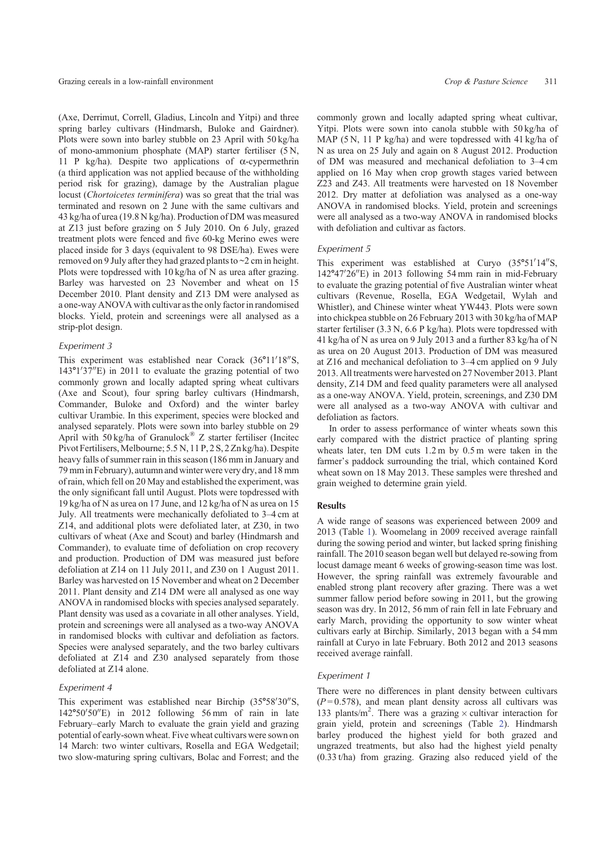(Axe, Derrimut, Correll, Gladius, Lincoln and Yitpi) and three spring barley cultivars (Hindmarsh, Buloke and Gairdner). Plots were sown into barley stubble on 23 April with 50 kg/ha of mono-ammonium phosphate (MAP) starter fertiliser (5 N, 11 P kg/ha). Despite two applications of  $\alpha$ -cypermethrin (a third application was not applied because of the withholding period risk for grazing), damage by the Australian plague locust (*Chortoicetes terminifera*) was so great that the trial was terminated and resown on 2 June with the same cultivars and 43 kg/ha of urea (19.8 N kg/ha). Production of DM was measured at Z13 just before grazing on 5 July 2010. On 6 July, grazed treatment plots were fenced and five 60-kg Merino ewes were placed inside for 3 days (equivalent to 98 DSE/ha). Ewes were removed on 9 July after they had grazed plants to ~2 cm in height. Plots were topdressed with 10 kg/ha of N as urea after grazing. Barley was harvested on 23 November and wheat on 15 December 2010. Plant density and Z13 DM were analysed as a one-way ANOVA with cultivar as the only factor in randomised blocks. Yield, protein and screenings were all analysed as a strip-plot design.

# *Experiment 3*

This experiment was established near Corack (36°11'18"S,  $143^{\circ}1'37''E$ ) in 2011 to evaluate the grazing potential of two commonly grown and locally adapted spring wheat cultivars (Axe and Scout), four spring barley cultivars (Hindmarsh, Commander, Buloke and Oxford) and the winter barley cultivar Urambie. In this experiment, species were blocked and analysed separately. Plots were sown into barley stubble on 29 April with  $50 \text{ kg/ha}$  of Granulock<sup>®</sup> Z starter fertiliser (Incited Pivot Fertilisers, Melbourne; 5.5 N, 11 P, 2 S, 2 Zn kg/ha). Despite heavy falls of summer rain in this season (186 mm in January and 79 mmin February), autumn and winter were very dry, and 18 mm of rain, which fell on 20 May and established the experiment, was the only significant fall until August. Plots were topdressed with 19 kg/ha of N as urea on 17 June, and 12 kg/ha of N as urea on 15 July. All treatments were mechanically defoliated to 3–4 cm at Z14, and additional plots were defoliated later, at Z30, in two cultivars of wheat (Axe and Scout) and barley (Hindmarsh and Commander), to evaluate time of defoliation on crop recovery and production. Production of DM was measured just before defoliation at Z14 on 11 July 2011, and Z30 on 1 August 2011. Barley was harvested on 15 November and wheat on 2 December 2011. Plant density and Z14 DM were all analysed as one way ANOVA in randomised blocks with species analysed separately. Plant density was used as a covariate in all other analyses. Yield, protein and screenings were all analysed as a two-way ANOVA in randomised blocks with cultivar and defoliation as factors. Species were analysed separately, and the two barley cultivars defoliated at Z14 and Z30 analysed separately from those defoliated at Z14 alone.

# *Experiment 4*

This experiment was established near Birchip (35°58'30"S,  $142^{\circ}50'50''$ E) in 2012 following 56 mm of rain in late February–early March to evaluate the grain yield and grazing potential of early-sown wheat. Five wheat cultivars were sown on 14 March: two winter cultivars, Rosella and EGA Wedgetail; two slow-maturing spring cultivars, Bolac and Forrest; and the

commonly grown and locally adapted spring wheat cultivar, Yitpi. Plots were sown into canola stubble with 50 kg/ha of MAP (5 N, 11 P kg/ha) and were topdressed with 41 kg/ha of N as urea on 25 July and again on 8 August 2012. Production of DM was measured and mechanical defoliation to 3–4 cm applied on 16 May when crop growth stages varied between Z23 and Z43. All treatments were harvested on 18 November 2012. Dry matter at defoliation was analysed as a one-way ANOVA in randomised blocks. Yield, protein and screenings were all analysed as a two-way ANOVA in randomised blocks with defoliation and cultivar as factors.

# *Experiment 5*

This experiment was established at Curyo (35°51'14"S, 142°47'26"E) in 2013 following 54 mm rain in mid-February to evaluate the grazing potential of five Australian winter wheat cultivars (Revenue, Rosella, EGA Wedgetail, Wylah and Whistler), and Chinese winter wheat YW443. Plots were sown into chickpea stubble on 26 February 2013 with 30 kg/ha of MAP starter fertiliser (3.3 N, 6.6 P kg/ha). Plots were topdressed with 41 kg/ha of N as urea on 9 July 2013 and a further 83 kg/ha of N as urea on 20 August 2013. Production of DM was measured at Z16 and mechanical defoliation to 3–4 cm applied on 9 July 2013. All treatments were harvested on 27 November 2013. Plant density, Z14 DM and feed quality parameters were all analysed as a one-way ANOVA. Yield, protein, screenings, and Z30 DM were all analysed as a two-way ANOVA with cultivar and defoliation as factors.

In order to assess performance of winter wheats sown this early compared with the district practice of planting spring wheats later, ten DM cuts 1.2 m by 0.5 m were taken in the farmer's paddock surrounding the trial, which contained Kord wheat sown on 18 May 2013. These samples were threshed and grain weighed to determine grain yield.

## **Results**

A wide range of seasons was experienced between 2009 and 2013 (Table 1). Woomelang in 2009 received average rainfall during the sowing period and winter, but lacked spring finishing rainfall. The 2010 season began well but delayed re-sowing from locust damage meant 6 weeks of growing-season time was lost. However, the spring rainfall was extremely favourable and enabled strong plant recovery after grazing. There was a wet summer fallow period before sowing in 2011, but the growing season was dry. In 2012, 56 mm of rain fell in late February and early March, providing the opportunity to sow winter wheat cultivars early at Birchip. Similarly, 2013 began with a 54 mm rainfall at Curyo in late February. Both 2012 and 2013 seasons received average rainfall.

### *Experiment 1*

There were no differences in plant density between cultivars  $(P=0.578)$ , and mean plant density across all cultivars was 133 plants/m<sup>2</sup>. There was a grazing  $\times$  cultivar interaction for grain yield, protein and screenings (Table 2). Hindmarsh barley produced the highest yield for both grazed and ungrazed treatments, but also had the highest yield penalty (0.33 t/ha) from grazing. Grazing also reduced yield of the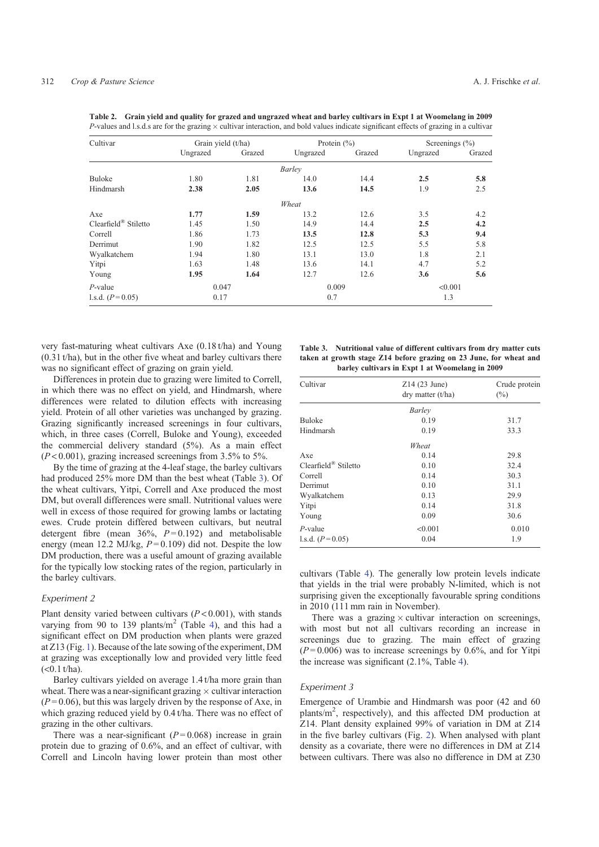|                      | $\tilde{\phantom{a}}$ |        |                 | $\tilde{}$ | $\tilde{\phantom{a}}$ |        |
|----------------------|-----------------------|--------|-----------------|------------|-----------------------|--------|
| Cultivar             | Grain yield (t/ha)    |        | Protein $(\% )$ |            | Screenings $(\% )$    |        |
|                      | Ungrazed              | Grazed | Ungrazed        | Grazed     | Ungrazed              | Grazed |
|                      |                       |        | Barley          |            |                       |        |
| Buloke               | 1.80                  | 1.81   | 14.0            | 14.4       | 2.5                   | 5.8    |
| Hindmarsh            | 2.38                  | 2.05   | 13.6            | 14.5       | 1.9                   | 2.5    |
|                      |                       |        | Wheat           |            |                       |        |
| Axe                  | 1.77                  | 1.59   | 13.2            | 12.6       | 3.5                   | 4.2    |
| Clearfield® Stiletto | 1.45                  | 1.50   | 14.9            | 14.4       | 2.5                   | 4.2    |
| Correll              | 1.86                  | 1.73   | 13.5            | 12.8       | 5.3                   | 9.4    |
| Derrimut             | 1.90                  | 1.82   | 12.5            | 12.5       | 5.5                   | 5.8    |
| Wyalkatchem          | 1.94                  | 1.80   | 13.1            | 13.0       | 1.8                   | 2.1    |
| Yitpi                | 1.63                  | 1.48   | 13.6            | 14.1       | 4.7                   | 5.2    |
| Young                | 1.95                  | 1.64   | 12.7            | 12.6       | 3.6                   | 5.6    |
| $P$ -value           | 0.047                 |        | 0.009           |            | < 0.001               |        |
| 1.s.d. $(P=0.05)$    | 0.17                  |        | 0.7             |            | 1.3                   |        |

**Table 2. Grain yield and quality for grazed and ungrazed wheat and barley cultivars in Expt 1 at Woomelang in 2009** *P*-values and l.s.d.s are for the grazing  $\times$  cultivar interaction, and bold values indicate significant effects of grazing in a cultivar

very fast-maturing wheat cultivars Axe (0.18 t/ha) and Young (0.31 t/ha), but in the other five wheat and barley cultivars there was no significant effect of grazing on grain yield.

Differences in protein due to grazing were limited to Correll, in which there was no effect on yield, and Hindmarsh, where differences were related to dilution effects with increasing yield. Protein of all other varieties was unchanged by grazing. Grazing significantly increased screenings in four cultivars, which, in three cases (Correll, Buloke and Young), exceeded the commercial delivery standard (5%). As a main effect  $(P<0.001)$ , grazing increased screenings from 3.5% to 5%.

By the time of grazing at the 4-leaf stage, the barley cultivars had produced 25% more DM than the best wheat (Table 3). Of the wheat cultivars, Yitpi, Correll and Axe produced the most DM, but overall differences were small. Nutritional values were well in excess of those required for growing lambs or lactating ewes. Crude protein differed between cultivars, but neutral detergent fibre (mean 36%, *P* = 0.192) and metabolisable energy (mean 12.2 MJ/kg,  $P = 0.109$ ) did not. Despite the low DM production, there was a useful amount of grazing available for the typically low stocking rates of the region, particularly in the barley cultivars.

# *Experiment 2*

Plant density varied between cultivars (*P* < 0.001), with stands varying from 90 to 139 plants/ $m<sup>2</sup>$  (Table 4), and this had a significant effect on DM production when plants were grazed at Z13 (Fig. 1). Because of the late sowing of the experiment, DM at grazing was exceptionally low and provided very little feed  $(<0.1$  t/ha).

Barley cultivars yielded on average 1.4 t/ha more grain than wheat. There was a near-significant grazing  $\times$  cultivar interaction  $(P=0.06)$ , but this was largely driven by the response of Axe, in which grazing reduced yield by 0.4 t/ha. There was no effect of grazing in the other cultivars.

There was a near-significant  $(P=0.068)$  increase in grain protein due to grazing of 0.6%, and an effect of cultivar, with Correll and Lincoln having lower protein than most other

| Table 3. Nutritional value of different cultivars from dry matter cuts |
|------------------------------------------------------------------------|
| taken at growth stage Z14 before grazing on 23 June, for wheat and     |
| barley cultivars in Expt 1 at Woomelang in 2009                        |

| Cultivar             | $Z14(23$ June)<br>$\text{dry matter (t/ha)}$ | Crude protein<br>$(\%)$ |  |
|----------------------|----------------------------------------------|-------------------------|--|
|                      | Barley                                       |                         |  |
| <b>Buloke</b>        | 0.19                                         | 31.7                    |  |
| Hindmarsh            | 0.19                                         | 33.3                    |  |
|                      | Wheat                                        |                         |  |
| Axe                  | 0.14                                         | 29.8                    |  |
| Clearfield® Stiletto | 0.10                                         | 32.4                    |  |
| Correll              | 0.14                                         | 30.3                    |  |
| Derrimut             | 0.10                                         | 31.1                    |  |
| Wyalkatchem          | 0.13                                         | 29.9                    |  |
| Yitpi                | 0.14                                         | 31.8                    |  |
| Young                | 0.09                                         | 30.6                    |  |
| P-value              | < 0.001                                      | 0.010                   |  |
| 1.s.d. $(P=0.05)$    | 0.04                                         | 1.9                     |  |
|                      |                                              |                         |  |

cultivars (Table 4). The generally low protein levels indicate that yields in the trial were probably N-limited, which is not surprising given the exceptionally favourable spring conditions in 2010 (111 mm rain in November).

There was a grazing  $\times$  cultivar interaction on screenings, with most but not all cultivars recording an increase in screenings due to grazing. The main effect of grazing  $(P=0.006)$  was to increase screenings by 0.6%, and for Yitpi the increase was significant (2.1%, Table 4).

# *Experiment 3*

Emergence of Urambie and Hindmarsh was poor (42 and 60 plants/m<sup>2</sup>, respectively), and this affected DM production at Z14. Plant density explained 99% of variation in DM at Z14 in the five barley cultivars (Fig. 2). When analysed with plant density as a covariate, there were no differences in DM at Z14 between cultivars. There was also no difference in DM at Z30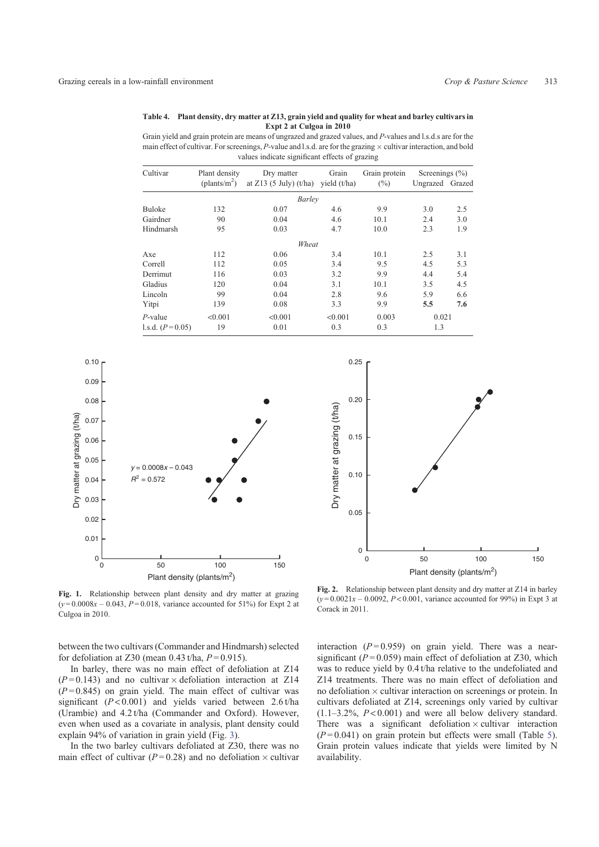#### **Table 4. Plant density, dry matter at Z13, grain yield and quality for wheat and barley cultivars in Expt 2 at Culgoa in 2010**

Grain yield and grain protein are means of ungrazed and grazed values, and *P*-values and l.s.d.s are for the main effect of cultivar. For screenings,  $P$ -value and l.s.d. are for the grazing  $\times$  cultivar interaction, and bold values indicate significant effects of grazing

| Cultivar          | Plant density         | Dry matter               | Grain          | Grain protein | Screenings $(\% )$ |     |
|-------------------|-----------------------|--------------------------|----------------|---------------|--------------------|-----|
|                   | $(\text{plants/m}^2)$ | at $Z13$ (5 July) (t/ha) | vield $(t/ha)$ | (%)           | Ungrazed Grazed    |     |
|                   |                       | Barley                   |                |               |                    |     |
| Buloke            | 132                   | 0.07                     | 4.6            | 9.9           | 3.0                | 2.5 |
| Gairdner          | 90                    | 0.04                     | 4.6            | 10.1          | 2.4                | 3.0 |
| Hindmarsh         | 95                    | 0.03                     | 4.7            | 10.0          | 2.3                | 1.9 |
|                   |                       | Wheat                    |                |               |                    |     |
| Axe               | 112                   | 0.06                     | 3.4            | 10.1          | 2.5                | 3.1 |
| Correll           | 112                   | 0.05                     | 3.4            | 9.5           | 4.5                | 5.3 |
| Derrimut          | 116                   | 0.03                     | 3.2            | 9.9           | 4.4                | 5.4 |
| Gladius           | 120                   | 0.04                     | 3.1            | 10.1          | 3.5                | 4.5 |
| Lincoln           | 99                    | 0.04                     | 2.8            | 9.6           | 5.9                | 6.6 |
| Yitpi             | 139                   | 0.08                     | 3.3            | 9.9           | 5.5                | 7.6 |
| $P$ -value        | < 0.001               | < 0.001                  | < 0.001        | 0.003         | 0.021              |     |
| 1.s.d. $(P=0.05)$ | 19                    | 0.01                     | 0.3            | 0.3           | 1.3                |     |





**Fig. 1.** Relationship between plant density and dry matter at grazing  $(y=0.0008x - 0.043, P=0.018$ , variance accounted for 51%) for Expt 2 at Culgoa in 2010.

between the two cultivars (Commander and Hindmarsh) selected for defoliation at Z30 (mean  $0.43$  t/ha,  $P = 0.915$ ).

In barley, there was no main effect of defoliation at Z14  $(P=0.143)$  and no cultivar  $\times$  defoliation interaction at Z14  $(P=0.845)$  on grain yield. The main effect of cultivar was significant (*P* < 0.001) and yields varied between 2.6 t/ha (Urambie) and 4.2 t/ha (Commander and Oxford). However, even when used as a covariate in analysis, plant density could explain 94% of variation in grain yield (Fig. 3).

In the two barley cultivars defoliated at Z30, there was no main effect of cultivar ( $P = 0.28$ ) and no defoliation  $\times$  cultivar

**Fig. 2.** Relationship between plant density and dry matter at Z14 in barley  $(y=0.0021x - 0.0092, P < 0.001$ , variance accounted for 99%) in Expt 3 at Corack in 2011.

interaction  $(P=0.959)$  on grain yield. There was a nearsignificant  $(P=0.059)$  main effect of defoliation at Z30, which was to reduce yield by 0.4 t/ha relative to the undefoliated and Z14 treatments. There was no main effect of defoliation and no defoliation  $\times$  cultivar interaction on screenings or protein. In cultivars defoliated at Z14, screenings only varied by cultivar  $(1.1-3.2\%, P<0.001)$  and were all below delivery standard. There was a significant defoliation  $\times$  cultivar interaction  $(P=0.041)$  on grain protein but effects were small (Table 5). Grain protein values indicate that yields were limited by N availability.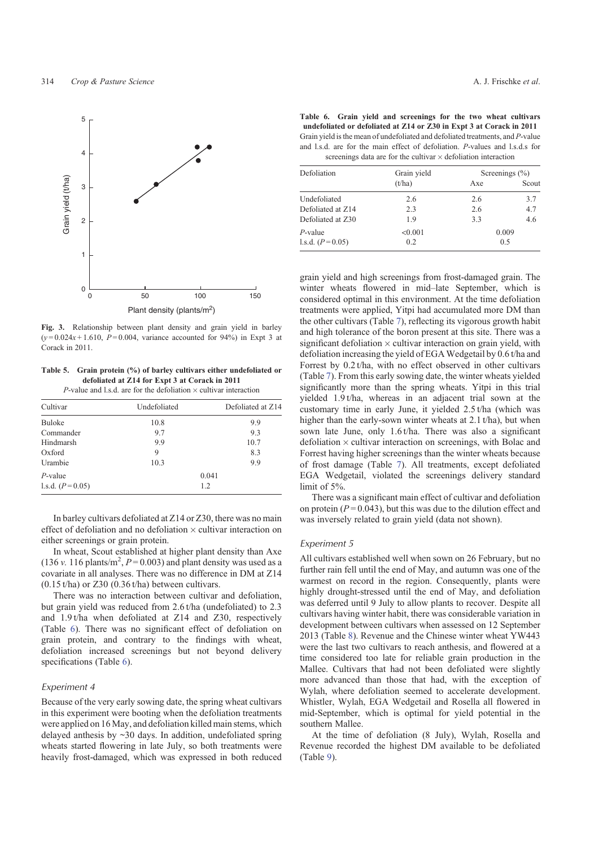

**Fig. 3.** Relationship between plant density and grain yield in barley  $(y=0.024x+1.610, P=0.004$ , variance accounted for 94%) in Expt 3 at Corack in 2011.

**Table 5. Grain protein (%) of barley cultivars either undefoliated or defoliated at Z14 for Expt 3 at Corack in 2011**

|  |  | P-value and l.s.d. are for the defoliation $\times$ cultivar interaction |
|--|--|--------------------------------------------------------------------------|
|  |  |                                                                          |

| Cultivar          | Undefoliated | Defoliated at Z14 |
|-------------------|--------------|-------------------|
| Buloke            | 10.8         | 9.9               |
| Commander         | 9.7          | 9.3               |
| Hindmarsh         | 9.9          | 10.7              |
| Oxford            | 9            | 8.3               |
| Urambie           | 10.3         | 9.9               |
| $P$ -value        |              | 0.041             |
| l.s.d. $(P=0.05)$ |              | 1.2               |

In barley cultivars defoliated at Z14 or Z30, there was no main effect of defoliation and no defoliation  $\times$  cultivar interaction on either screenings or grain protein.

In wheat, Scout established at higher plant density than Axe  $(136 \text{ v. } 116 \text{ plants/m}^2, P=0.003)$  and plant density was used as a covariate in all analyses. There was no difference in DM at Z14  $(0.15 t/ha)$  or Z30  $(0.36 t/ha)$  between cultivars.

There was no interaction between cultivar and defoliation, but grain yield was reduced from 2.6 t/ha (undefoliated) to 2.3 and 1.9 t/ha when defoliated at Z14 and Z30, respectively (Table 6). There was no significant effect of defoliation on grain protein, and contrary to the findings with wheat, defoliation increased screenings but not beyond delivery specifications (Table 6).

# *Experiment 4*

Because of the very early sowing date, the spring wheat cultivars in this experiment were booting when the defoliation treatments were applied on 16 May, and defoliation killed main stems, which delayed anthesis by ~30 days. In addition, undefoliated spring wheats started flowering in late July, so both treatments were heavily frost-damaged, which was expressed in both reduced

**Table 6. Grain yield and screenings for the two wheat cultivars undefoliated or defoliated at Z14 or Z30 in Expt 3 at Corack in 2011** Grain yield is the mean of undefoliated and defoliated treatments, and *P*-value and l.s.d. are for the main effect of defoliation. *P*-values and l.s.d.s for screenings data are for the cultivar  $\times$  defoliation interaction

| Defoliation       | Grain yield |     | Screenings $(\% )$ |
|-------------------|-------------|-----|--------------------|
|                   | (t/ha)      | Axe | Scout              |
| Undefoliated      | 2.6         | 2.6 | 3.7                |
| Defoliated at Z14 | 2.3         | 2.6 | 4.7                |
| Defoliated at Z30 | 1.9         | 3.3 | 4.6                |
| $P$ -value        | < 0.001     |     | 0.009              |
| 1.s.d. $(P=0.05)$ | 0.2         |     | 0.5                |

grain yield and high screenings from frost-damaged grain. The winter wheats flowered in mid–late September, which is considered optimal in this environment. At the time defoliation treatments were applied, Yitpi had accumulated more DM than the other cultivars (Table 7), reflecting its vigorous growth habit and high tolerance of the boron present at this site. There was a significant defoliation  $\times$  cultivar interaction on grain yield, with defoliation increasing the yield of EGA Wedgetail by 0.6 t/ha and Forrest by 0.2 t/ha, with no effect observed in other cultivars (Table 7). From this early sowing date, the winter wheats yielded significantly more than the spring wheats. Yitpi in this trial yielded 1.9 t/ha, whereas in an adjacent trial sown at the customary time in early June, it yielded 2.5 t/ha (which was higher than the early-sown winter wheats at 2.1 t/ha), but when sown late June, only 1.6 t/ha. There was also a significant defoliation  $\times$  cultivar interaction on screenings, with Bolac and Forrest having higher screenings than the winter wheats because of frost damage (Table 7). All treatments, except defoliated EGA Wedgetail, violated the screenings delivery standard limit of 5%.

There was a significant main effect of cultivar and defoliation on protein  $(P = 0.043)$ , but this was due to the dilution effect and was inversely related to grain yield (data not shown).

#### *Experiment 5*

All cultivars established well when sown on 26 February, but no further rain fell until the end of May, and autumn was one of the warmest on record in the region. Consequently, plants were highly drought-stressed until the end of May, and defoliation was deferred until 9 July to allow plants to recover. Despite all cultivars having winter habit, there was considerable variation in development between cultivars when assessed on 12 September 2013 (Table 8). Revenue and the Chinese winter wheat YW443 were the last two cultivars to reach anthesis, and flowered at a time considered too late for reliable grain production in the Mallee. Cultivars that had not been defoliated were slightly more advanced than those that had, with the exception of Wylah, where defoliation seemed to accelerate development. Whistler, Wylah, EGA Wedgetail and Rosella all flowered in mid-September, which is optimal for yield potential in the southern Mallee.

At the time of defoliation (8 July), Wylah, Rosella and Revenue recorded the highest DM available to be defoliated (Table 9).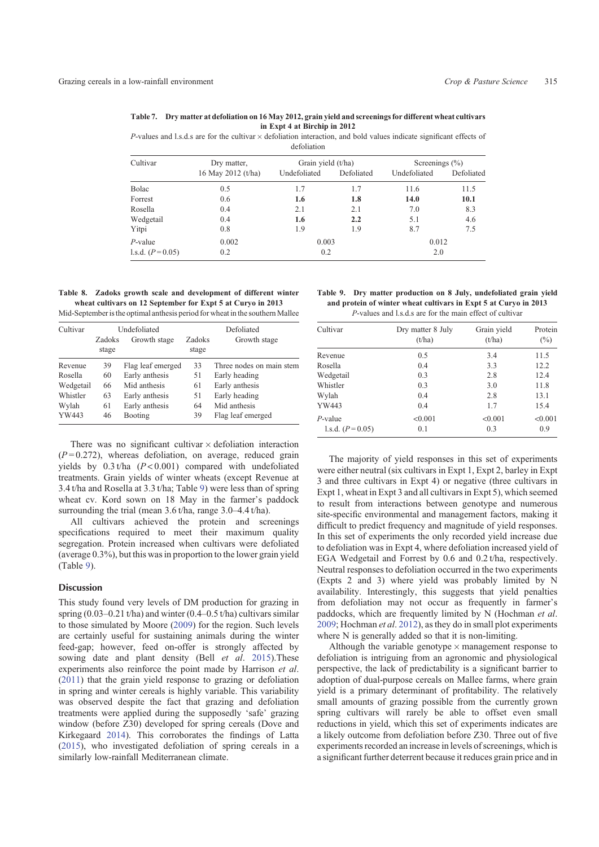**Table 7. Dry matter at defoliation on 16 May 2012, grain yield and screenings for different wheat cultivars in Expt 4 at Birchip in 2012**

 $P$ -values and l.s.d.s are for the cultivar  $\times$  defoliation interaction, and bold values indicate significant effects of defoliation

| Cultivar          | Dry matter,        | Grain yield (t/ha) |            | Screenings $(\% )$ |            |  |
|-------------------|--------------------|--------------------|------------|--------------------|------------|--|
|                   | 16 May 2012 (t/ha) | Undefoliated       | Defoliated | Undefoliated       | Defoliated |  |
| Bolac             | 0.5                | 1.7                | 1.7        | 11.6               | 11.5       |  |
| Forrest           | 0.6                | 1.6                | 1.8        | 14.0               | 10.1       |  |
| Rosella           | 0.4                | 2.1                | 2.1        | 7.0                | 8.3        |  |
| Wedgetail         | 0.4                | 1.6                | 2.2        | 5.1                | 4.6        |  |
| Yitpi             | 0.8                | 1.9                | 1.9        | 8.7                | 7.5        |  |
| $P$ -value        | 0.002              | 0.003              |            | 0.012              |            |  |
| 1.s.d. $(P=0.05)$ | 0.2                | 0.2                |            | 2.0                |            |  |

**Table 8. Zadoks growth scale and development of different winter wheat cultivars on 12 September for Expt 5 at Curyo in 2013**

Mid-September is the optimal anthesis period for wheat in the southern Mallee

| Cultivar  |        | Undefoliated      |        | Defoliated               |
|-----------|--------|-------------------|--------|--------------------------|
|           | Zadoks | Growth stage      | Zadoks | Growth stage             |
|           | stage  |                   | stage  |                          |
| Revenue   | 39     | Flag leaf emerged | 33     | Three nodes on main stem |
| Rosella   | 60     | Early anthesis    | 51     | Early heading            |
| Wedgetail | 66     | Mid anthesis      | 61     | Early anthesis           |
| Whistler  | 63     | Early anthesis    | 51     | Early heading            |
| Wylah     | 61     | Early anthesis    | 64     | Mid anthesis             |
| YW443     | 46     | Booting           | 39     | Flag leaf emerged        |

There was no significant cultivar  $\times$  defoliation interaction  $(P=0.272)$ , whereas defoliation, on average, reduced grain yields by 0.3 t/ha (*P* < 0.001) compared with undefoliated treatments. Grain yields of winter wheats (except Revenue at 3.4 t/ha and Rosella at 3.3 t/ha; Table 9) were less than of spring wheat cv. Kord sown on 18 May in the farmer's paddock surrounding the trial (mean 3.6 t/ha, range 3.0–4.4 t/ha).

All cultivars achieved the protein and screenings specifications required to meet their maximum quality segregation. Protein increased when cultivars were defoliated (average 0.3%), but this was in proportion to the lower grain yield (Table 9).

## **Discussion**

This study found very levels of DM production for grazing in spring  $(0.03-0.21 \text{ t/ha})$  and winter  $(0.4-0.5 \text{ t/ha})$  cultivars similar to those simulated by Moore (2009) for the region. Such levels are certainly useful for sustaining animals during the winter feed-gap; however, feed on-offer is strongly affected by sowing date and plant density (Bell *et al*. 2015).These experiments also reinforce the point made by Harrison *et al*. (2011) that the grain yield response to grazing or defoliation in spring and winter cereals is highly variable. This variability was observed despite the fact that grazing and defoliation treatments were applied during the supposedly 'safe' grazing window (before Z30) developed for spring cereals (Dove and Kirkegaard 2014). This corroborates the findings of Latta (2015), who investigated defoliation of spring cereals in a similarly low-rainfall Mediterranean climate.

| Table 9. Dry matter production on 8 July, undefoliated grain yield |  |
|--------------------------------------------------------------------|--|
| and protein of winter wheat cultivars in Expt 5 at Curvo in 2013   |  |
| <i>P</i> -values and l.s.d.s are for the main effect of cultivar   |  |

| Cultivar          | Dry matter 8 July<br>(t/ha) | Grain yield<br>(t/ha) | Protein<br>$(\%)$ |
|-------------------|-----------------------------|-----------------------|-------------------|
| Revenue           | 0.5                         | 3.4                   | 11.5              |
| Rosella           | 0.4                         | 3.3                   | 12.2              |
| Wedgetail         | 0.3                         | 2.8                   | 12.4              |
| Whistler          | 0.3                         | 3.0                   | 11.8              |
| Wylah             | 0.4                         | 2.8                   | 13.1              |
| YW443             | 0.4                         | 1.7                   | 15.4              |
| $P$ -value        | < 0.001                     | < 0.001               | < 0.001           |
| 1.s.d. $(P=0.05)$ | 0.1                         | 0.3                   | 0.9               |

The majority of yield responses in this set of experiments were either neutral (six cultivars in Expt 1, Expt 2, barley in Expt 3 and three cultivars in Expt 4) or negative (three cultivars in Expt 1, wheat in Expt 3 and all cultivars in Expt 5), which seemed to result from interactions between genotype and numerous site-specific environmental and management factors, making it difficult to predict frequency and magnitude of yield responses. In this set of experiments the only recorded yield increase due to defoliation was in Expt 4, where defoliation increased yield of EGA Wedgetail and Forrest by 0.6 and 0.2 t/ha, respectively. Neutral responses to defoliation occurred in the two experiments (Expts 2 and 3) where yield was probably limited by N availability. Interestingly, this suggests that yield penalties from defoliation may not occur as frequently in farmer's paddocks, which are frequently limited by N (Hochman *et al*. 2009; Hochman *et al*. 2012), as they do in small plot experiments where N is generally added so that it is non-limiting.

Although the variable genotype  $\times$  management response to defoliation is intriguing from an agronomic and physiological perspective, the lack of predictability is a significant barrier to adoption of dual-purpose cereals on Mallee farms, where grain yield is a primary determinant of profitability. The relatively small amounts of grazing possible from the currently grown spring cultivars will rarely be able to offset even small reductions in yield, which this set of experiments indicates are a likely outcome from defoliation before Z30. Three out of five experiments recorded an increase in levels of screenings, which is a significant further deterrent because it reduces grain price and in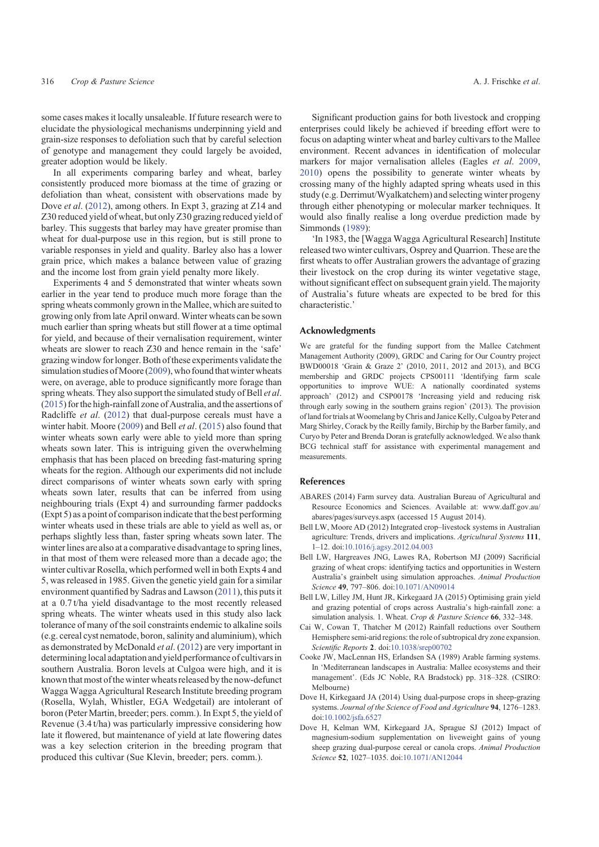some cases makes it locally unsaleable. If future research were to elucidate the physiological mechanisms underpinning yield and grain-size responses to defoliation such that by careful selection of genotype and management they could largely be avoided, greater adoption would be likely.

In all experiments comparing barley and wheat, barley consistently produced more biomass at the time of grazing or defoliation than wheat, consistent with observations made by Dove *et al*. (2012), among others. In Expt 3, grazing at Z14 and Z30 reduced yield of wheat, but only Z30 grazing reduced yield of barley. This suggests that barley may have greater promise than wheat for dual-purpose use in this region, but is still prone to variable responses in yield and quality. Barley also has a lower grain price, which makes a balance between value of grazing and the income lost from grain yield penalty more likely.

Experiments 4 and 5 demonstrated that winter wheats sown earlier in the year tend to produce much more forage than the spring wheats commonly grown in the Mallee, which are suited to growing only from late April onward. Winter wheats can be sown much earlier than spring wheats but still flower at a time optimal for yield, and because of their vernalisation requirement, winter wheats are slower to reach Z30 and hence remain in the 'safe' grazing window forlonger. Both of these experiments validate the simulation studies of Moore (2009), who found that winter wheats were, on average, able to produce significantly more forage than spring wheats. They also support the simulated study of Bell *et al*. (2015) for the high-rainfall zone of Australia, and the assertions of Radcliffe *et al*. (2012) that dual-purpose cereals must have a winter habit. Moore (2009) and Bell *et al*. (2015) also found that winter wheats sown early were able to yield more than spring wheats sown later. This is intriguing given the overwhelming emphasis that has been placed on breeding fast-maturing spring wheats for the region. Although our experiments did not include direct comparisons of winter wheats sown early with spring wheats sown later, results that can be inferred from using neighbouring trials (Expt 4) and surrounding farmer paddocks (Expt 5) as a point of comparison indicate that the best performing winter wheats used in these trials are able to yield as well as, or perhaps slightly less than, faster spring wheats sown later. The winter lines are also at a comparative disadvantage to spring lines, in that most of them were released more than a decade ago; the winter cultivar Rosella, which performed well in both Expts 4 and 5, was released in 1985. Given the genetic yield gain for a similar environment quantified by Sadras and Lawson (2011), this puts it at a 0.7 t/ha yield disadvantage to the most recently released spring wheats. The winter wheats used in this study also lack tolerance of many of the soil constraints endemic to alkaline soils (e.g. cereal cyst nematode, boron, salinity and aluminium), which as demonstrated by McDonald *et al*. (2012) are very important in determining local adaptation and yield performance of cultivars in southern Australia. Boron levels at Culgoa were high, and it is known that most of the winter wheats released by the now-defunct Wagga Wagga Agricultural Research Institute breeding program (Rosella, Wylah, Whistler, EGA Wedgetail) are intolerant of boron (Peter Martin, breeder; pers. comm.). In Expt 5, the yield of Revenue (3.4 t/ha) was particularly impressive considering how late it flowered, but maintenance of yield at late flowering dates was a key selection criterion in the breeding program that produced this cultivar (Sue Klevin, breeder; pers. comm.).

Significant production gains for both livestock and cropping enterprises could likely be achieved if breeding effort were to focus on adapting winter wheat and barley cultivars to the Mallee environment. Recent advances in identification of molecular markers for major vernalisation alleles (Eagles *et al*. 2009, 2010) opens the possibility to generate winter wheats by crossing many of the highly adapted spring wheats used in this study (e.g. Derrimut/Wyalkatchem) and selecting winter progeny through either phenotyping or molecular marker techniques. It would also finally realise a long overdue prediction made by Simmonds (1989):

'In 1983, the [Wagga Wagga Agricultural Research] Institute released two winter cultivars, Osprey and Quarrion. These are the first wheats to offer Australian growers the advantage of grazing their livestock on the crop during its winter vegetative stage, without significant effect on subsequent grain yield. The majority of Australia's future wheats are expected to be bred for this characteristic.'

# **Acknowledgments**

We are grateful for the funding support from the Mallee Catchment Management Authority (2009), GRDC and Caring for Our Country project BWD00018 'Grain & Graze 2' (2010, 2011, 2012 and 2013), and BCG membership and GRDC projects CPS00111 'Identifying farm scale opportunities to improve WUE: A nationally coordinated systems approach' (2012) and CSP00178 'Increasing yield and reducing risk through early sowing in the southern grains region' (2013). The provision of land for trials atWoomelang by Chris and Janice Kelly, Culgoa by Peter and Marg Shirley, Corack by the Reilly family, Birchip by the Barber family, and Curyo by Peter and Brenda Doran is gratefully acknowledged. We also thank BCG technical staff for assistance with experimental management and measurements.

#### **References**

- ABARES (2014) Farm survey data. Australian Bureau of Agricultural and Resource Economics and Sciences. Available at: www.daff.gov.au/ abares/pages/surveys.aspx (accessed 15 August 2014).
- Bell LW, Moore AD (2012) Integrated crop–livestock systems in Australian agriculture: Trends, drivers and implications. *Agricultural Systems* **111**, 1–12. doi:10.1016/j.agsy.2012.04.003
- Bell LW, Hargreaves JNG, Lawes RA, Robertson MJ (2009) Sacrificial grazing of wheat crops: identifying tactics and opportunities in Western Australia's grainbelt using simulation approaches. *Animal Production Science* **49**, 797–806. doi:10.1071/AN09014
- Bell LW, Lilley JM, Hunt JR, Kirkegaard JA (2015) Optimising grain yield and grazing potential of crops across Australia's high-rainfall zone: a simulation analysis. 1. Wheat. *Crop & Pasture Science* **66**, 332–348.
- Cai W, Cowan T, Thatcher M (2012) Rainfall reductions over Southern Hemisphere semi-arid regions: the role of subtropical dry zone expansion. *Scientific Reports* **2**. doi:10.1038/srep00702
- Cooke JW, MacLennan HS, Erlandsen SA (1989) Arable farming systems. In 'Mediterranean landscapes in Australia: Mallee ecosystems and their management'. (Eds JC Noble, RA Bradstock) pp. 318–328. (CSIRO: Melbourne)
- Dove H, Kirkegaard JA (2014) Using dual-purpose crops in sheep-grazing systems. *Journal of the Science of Food and Agriculture* **94**, 1276–1283. doi:10.1002/jsfa.6527
- Dove H, Kelman WM, Kirkegaard JA, Sprague SJ (2012) Impact of magnesium-sodium supplementation on liveweight gains of young sheep grazing dual-purpose cereal or canola crops. *Animal Production Science* **52**, 1027–1035. doi:10.1071/AN12044